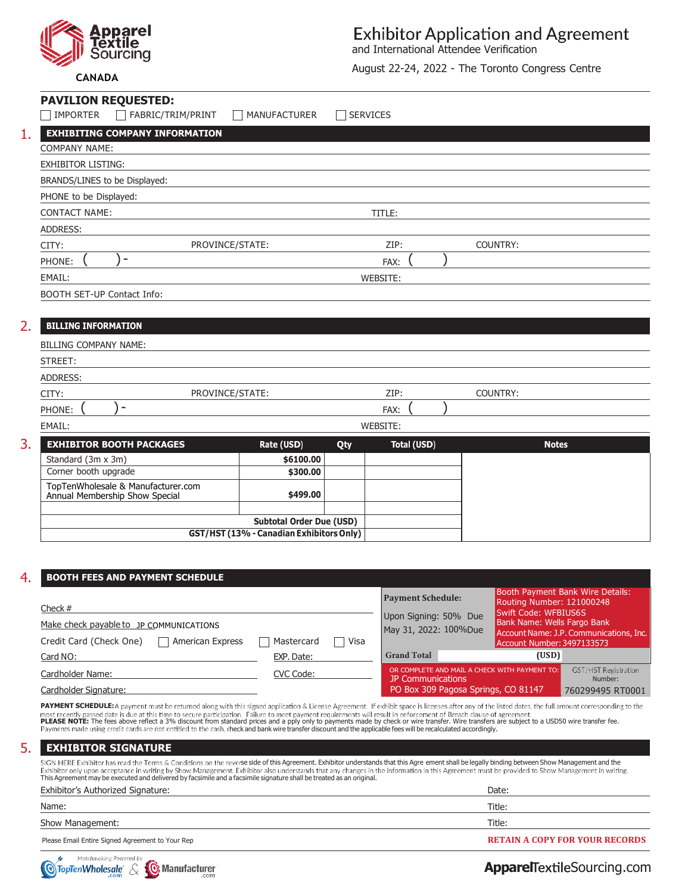

### **Exhibitor Application and Agreement**

and International Attendee Verification

August 22-24, 2022 - The Toronto Congress Centre

### **CANADA**

| <b>PAVILION REQUESTED:</b><br><b>IMPORTER</b><br>FABRIC/TRIM/PRINT   | <b>MANUFACTURER</b>                                                         | SERVICES                  |          |              |
|----------------------------------------------------------------------|-----------------------------------------------------------------------------|---------------------------|----------|--------------|
| 1.<br><b>EXHIBITING COMPANY INFORMATION</b>                          |                                                                             |                           |          |              |
| <b>COMPANY NAME:</b>                                                 |                                                                             |                           |          |              |
| <b>EXHIBITOR LISTING:</b>                                            |                                                                             |                           |          |              |
| BRANDS/LINES to be Displayed:                                        |                                                                             |                           |          |              |
| PHONE to be Displayed:                                               |                                                                             |                           |          |              |
| <b>CONTACT NAME:</b>                                                 |                                                                             | TITLE:                    |          |              |
| <b>ADDRESS:</b>                                                      |                                                                             |                           |          |              |
| CITY:                                                                | PROVINCE/STATE:                                                             | ZIP:                      | COUNTRY: |              |
| ۰<br>PHONE:                                                          |                                                                             | FAX:                      |          |              |
| EMAIL:                                                               |                                                                             | WEBSITE:                  |          |              |
| BOOTH SET-UP Contact Info:                                           |                                                                             |                           |          |              |
|                                                                      |                                                                             |                           |          |              |
| 2.<br><b>BILLING INFORMATION</b>                                     |                                                                             |                           |          |              |
| <b>BILLING COMPANY NAME:</b>                                         |                                                                             |                           |          |              |
| STREET:                                                              |                                                                             |                           |          |              |
| <b>ADDRESS:</b>                                                      |                                                                             |                           |          |              |
| CITY:                                                                | PROVINCE/STATE:                                                             | ZIP:                      | COUNTRY: |              |
| $\overline{\phantom{0}}$<br>PHONE:                                   |                                                                             | FAX:                      |          |              |
| EMAIL:                                                               |                                                                             | WEBSITE:                  |          |              |
| 3.<br><b>EXHIBITOR BOOTH PACKAGES</b>                                | Rate (USD)                                                                  | <b>Total (USD)</b><br>Qty |          | <b>Notes</b> |
| Standard (3m x 3m)                                                   | \$6100.00                                                                   |                           |          |              |
| Corner booth upgrade                                                 | \$300.00                                                                    |                           |          |              |
| TopTenWholesale & Manufacturer.com<br>Annual Membership Show Special | \$499.00                                                                    |                           |          |              |
|                                                                      |                                                                             |                           |          |              |
|                                                                      | <b>Subtotal Order Due (USD)</b><br>GST/HST (13% - Canadian Exhibitors Only) |                           |          |              |
|                                                                      |                                                                             |                           |          |              |

#### **Total Order Due (USD) BOOTH FEES AND PAYMENT SCHEDULE** 4. Booth Payment Bank Wire Details: **Payment Schedule:** Routing Number: 121000248 Check# Swift Code: WFBIUS6S Upon Signing: 50% Due Bank Name: Wells Fargo Bank Make check payable to JP COMMUNICATIONS May 31, 2022: 100%Due Account Name: J.P. Communications, Inc. Credit Card (Check One) | American Express | Mastercard | Visa Account Number: 3497133573 Card NO: EXP. Date: **Grand Total (USD)** GST/HST Registration CVC Code: **OR COMPLETE AND MAIL A CHECK WITH PAYMENT TO:** Cardholder Name: JP Communications Number: PO Box 309 Pagosa Springs, CO 81147 Cardholder Signature: 760299495 RT0001

PAYMENT SCHEDULE: A payment must be returned along with this signed application & License Agreement. If exhibit space is licenses after any of the listed dates, the full amount corresponding to the PLEASE NOTE: The fees above reflect a 3% discount from standard prices and a pply only to payments made by check or wire transfer. Wire transfers are subject to a USD50 wire transfer fee.<br>Payments made using credit cards a

| <b>EXHIBITOR SIGNATURE</b>                                                                                                                                                                                                                                                                                                                                                                                                                                                                                               |                                       |  |  |
|--------------------------------------------------------------------------------------------------------------------------------------------------------------------------------------------------------------------------------------------------------------------------------------------------------------------------------------------------------------------------------------------------------------------------------------------------------------------------------------------------------------------------|---------------------------------------|--|--|
| SIGN HERE Exhibitor has read the Terms & Conditions on the reverse side of this Agreement. Exhibitor understands that this Agre ement shall be legally binding between Show Management and the<br>Exhibitor only upon acceptance in writing by Show Management. Exhibitor also understands that any changes in the information in this Agreement must be provided to Show Management in writing.<br>This Agreement may be executed and delivered by facsimile and a facsimile signature shall be treated as an original. |                                       |  |  |
| Exhibitor's Authorized Signature:                                                                                                                                                                                                                                                                                                                                                                                                                                                                                        | Date:                                 |  |  |
| Name:                                                                                                                                                                                                                                                                                                                                                                                                                                                                                                                    | Title:                                |  |  |
| Show Management:                                                                                                                                                                                                                                                                                                                                                                                                                                                                                                         | Title:                                |  |  |
| Please Email Entire Signed Agreement to Your Rep                                                                                                                                                                                                                                                                                                                                                                                                                                                                         | <b>RETAIN A COPY FOR YOUR RECORDS</b> |  |  |



**Apparel Textile Sourcing.com**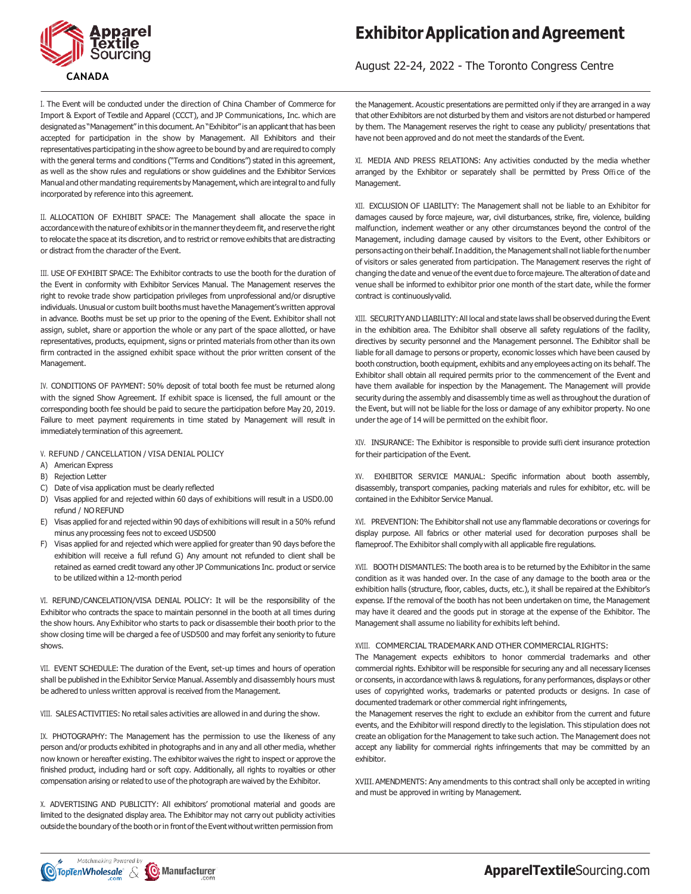

## **Exhibitor Application and Agreement**

August 22-24, 2022 - The Toronto Congress Centre

I. The Event will be conducted under the direction of China Chamber of Commerce for Import & Export of Textile and Apparel (CCCT), and JP Communications, Inc. which are designated as "Management" in this document. An "Exhibitor" is an applicant that has been accepted for participation in the show by Management. All Exhibitors and their representatives participating in the show agree to be bound by and are required to comply with the general terms and conditions ("Terms and Conditions") stated in this agreement, as well as the show rules and regulations or show guidelines and the Exhibitor Services Manual and other mandating requirements by Management, which are integral to and fully incorporated by reference into this agreement.

II. ALLOCATION OF EXHIBIT SPACE: The Management shall allocate the space in accordance with the nature of exhibits orin the manner they deem fit, and reserve the right to relocate the space at its discretion, and to restrict or remove exhibits that are distracting or distract from the character of the Event.

III. USE OF EXHIBIT SPACE: The Exhibitor contracts to use the booth for the duration of the Event in conformity with Exhibitor Services Manual. The Management reserves the right to revoke trade show participation privileges from unprofessional and/or disruptive individuals. Unusual or custom built booths must have the Management's written approval in advance. Booths must be set up prior to the opening of the Event. Exhibitor shall not assign, sublet, share or apportion the whole or any part of the space allotted, or have representatives, products, equipment, signs or printed materials from other than its own firm contracted in the assigned exhibit space without the prior written consent of the Management.

IV. CONDITIONS OF PAYMENT: 50% deposit of total booth fee must be returned along with the signed Show Agreement. If exhibit space is licensed, the full amount or the corresponding booth fee should be paid to secure the participation before May 20, 2019. Failure to meet payment requirements in time stated by Management will result in immediately termination of this agreement.

#### V. REFUND / CANCELLATION / VISA DENIAL POLICY

- A) American Express
- B) Rejection Letter
- C) Date of visa application must be clearly reflected
- D) Visas applied for and rejected within 60 days of exhibitions will result in a USD0.00 refund / NO REFUND
- E) Visas applied for and rejected within 90 days of exhibitions will result in a 50% refund minus any processing fees not to exceed USD500
- F) Visas applied for and rejected which were applied for greater than 90 days before the exhibition will receive a full refund G) Any amount not refunded to client shall be retained as earned credit toward any other JP Communications Inc. product or service to be utilized within a 12-month period

VI. REFUND/CANCELATION/VISA DENIAL POLICY: It will be the responsibility of the Exhibitor who contracts the space to maintain personnel in the booth at all times during the show hours. Any Exhibitor who starts to pack or disassemble their booth prior to the show closing time will be charged a fee of USD500 and may forfeit any seniority to future shows.

VII. EVENT SCHEDULE: The duration of the Event, set-up times and hours of operation shall be published in the Exhibitor Service Manual. Assembly and disassembly hours must be adhered to unless written approval is received from the Management.

VIII. SALES ACTIVITIES: No retail sales activities are allowed in and during the show.

IX. PHOTOGRAPHY: The Management has the permission to use the likeness of any person and/or products exhibited in photographs and in any and all other media, whether now known or hereafter existing. The exhibitor waives the right to inspect or approve the finished product, including hard or soft copy. Additionally, all rights to royalties or other compensation arising or related to use of the photograph are waived by the Exhibitor.

X. ADVERTISING AND PUBLICITY: All exhibitors' promotional material and goods are limited to the designated display area. The Exhibitor may not carry out publicity activities outside the boundary of the booth or in front of the Event without written permission from

the Management. Acoustic presentations are permitted only if they are arranged in a way that other Exhibitors are not disturbed by them and visitors are not disturbed or hampered by them. The Management reserves the right to cease any publicity/ presentations that have not been approved and do not meet the standards of the Event.

XI. MEDIA AND PRESS RELATIONS: Any activities conducted by the media whether arranged by the Exhibitor or separately shall be permitted by Press Office of the Management.

XII. EXCLUSION OF LIABILITY: The Management shall not be liable to an Exhibitor for damages caused by force majeure, war, civil disturbances, strike, fire, violence, building malfunction, inclement weather or any other circumstances beyond the control of the Management, including damage caused by visitors to the Event, other Exhibitors or persons acting on their behalf. In addition, the Management shall not liable for the number of visitors or sales generated from participation. The Management reserves the right of changing the date and venue of the event due to force majeure. The alteration of date and venue shall be informed to exhibitor prior one month of the start date, while the former contract is continuously valid.

XIII. SECURITY AND LIABILITY: All local and state laws shall be observed during the Event in the exhibition area. The Exhibitor shall observe all safety regulations of the facility, directives by security personnel and the Management personnel. The Exhibitor shall be liable for all damage to persons or property, economic losses which have been caused by booth construction, booth equipment, exhibits and any employees acting on its behalf. The Exhibitor shall obtain all required permits prior to the commencement of the Event and have them available for inspection by the Management. The Management will provide security during the assembly and disassembly time as well as throughout the duration of the Event, but will not be liable for the loss or damage of any exhibitor property. No one under the age of 14 will be permitted on the exhibit floor.

XIV. INSURANCE: The Exhibitor is responsible to provide sufficient insurance protection for their participation of the Event.

XV. EXHIBITOR SERVICE MANUAL: Specific information about booth assembly, disassembly, transport companies, packing materials and rules for exhibitor, etc. will be contained in the Exhibitor Service Manual.

XVI. PREVENTION: The Exhibitor shall not use any flammable decorations or coverings for display purpose. All fabrics or other material used for decoration purposes shall be flameproof. The Exhibitor shall comply with all applicable fire regulations.

XVII. BOOTH DISMANTLES: The booth area is to be returned by the Exhibitor in the same condition as it was handed over. In the case of any damage to the booth area or the exhibition halls (structure, floor, cables, ducts, etc.), it shall be repaired at the Exhibitor's expense. If the removal of the booth has not been undertaken on time, the Management may have it cleared and the goods put in storage at the expense of the Exhibitor. The Management shall assume no liability for exhibits left behind.

### XVIII. COMMERCIAL TRADEMARK AND OTHER COMMERCIAL RIGHTS:

The Management expects exhibitors to honor commercial trademarks and other commercial rights. Exhibitor will be responsible for securing any and all necessary licenses or consents, in accordance with laws & regulations, for any performances, displays or other uses of copyrighted works, trademarks or patented products or designs. In case of documented trademark or other commercial right infringements,

the Management reserves the right to exclude an exhibitor from the current and future events, and the Exhibitor will respond directly to the legislation. This stipulation does not create an obligation for the Management to take such action. The Management does not accept any liability for commercial rights infringements that may be committed by an exhibitor.

XVIII. AMENDMENTS: Any amendments to this contract shall only be accepted in writing and must be approved in writing by Management.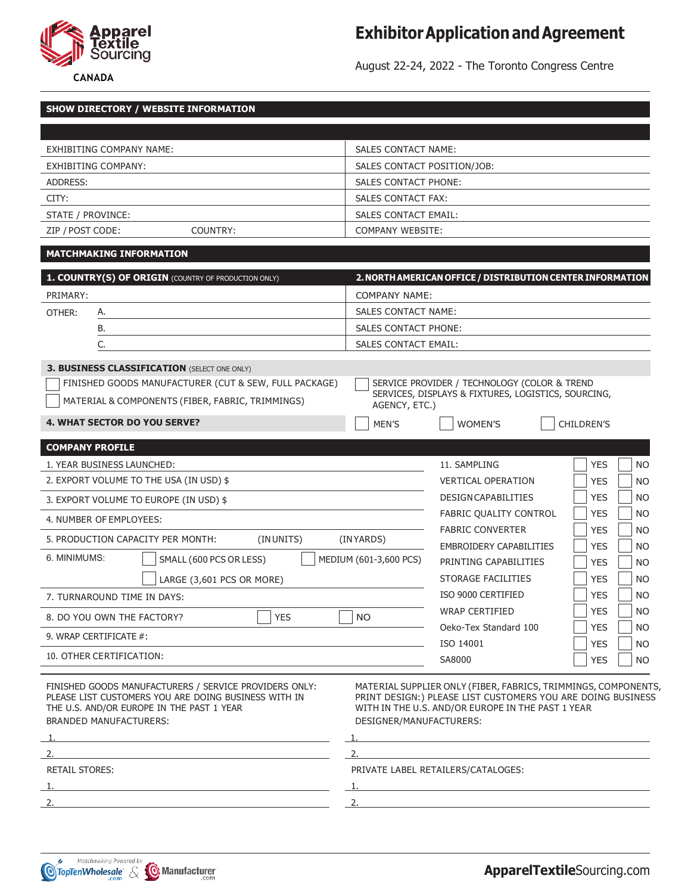

# **Exhibitor Application and Agreement**

**CANADA**

August 22-24, 2022 - The Toronto Congress Centre

| <b>SHOW DIRECTORY / WEBSITE INFORMATION</b>                                                                                                                                                                                                                 |                                                                                                                                                                                                                                                                       |  |  |  |  |  |
|-------------------------------------------------------------------------------------------------------------------------------------------------------------------------------------------------------------------------------------------------------------|-----------------------------------------------------------------------------------------------------------------------------------------------------------------------------------------------------------------------------------------------------------------------|--|--|--|--|--|
|                                                                                                                                                                                                                                                             |                                                                                                                                                                                                                                                                       |  |  |  |  |  |
| EXHIBITING COMPANY NAME:                                                                                                                                                                                                                                    | <b>SALES CONTACT NAME:</b>                                                                                                                                                                                                                                            |  |  |  |  |  |
| EXHIBITING COMPANY:                                                                                                                                                                                                                                         | SALES CONTACT POSITION/JOB:                                                                                                                                                                                                                                           |  |  |  |  |  |
| <b>ADDRESS:</b>                                                                                                                                                                                                                                             | <b>SALES CONTACT PHONE:</b>                                                                                                                                                                                                                                           |  |  |  |  |  |
| CITY:                                                                                                                                                                                                                                                       | <b>SALES CONTACT FAX:</b>                                                                                                                                                                                                                                             |  |  |  |  |  |
| STATE / PROVINCE:                                                                                                                                                                                                                                           | <b>SALES CONTACT EMAIL:</b>                                                                                                                                                                                                                                           |  |  |  |  |  |
| ZIP / POST CODE:<br>COUNTRY:                                                                                                                                                                                                                                | <b>COMPANY WEBSITE:</b>                                                                                                                                                                                                                                               |  |  |  |  |  |
| <b>MATCHMAKING INFORMATION</b>                                                                                                                                                                                                                              |                                                                                                                                                                                                                                                                       |  |  |  |  |  |
| 1. COUNTRY(S) OF ORIGIN (COUNTRY OF PRODUCTION ONLY)                                                                                                                                                                                                        |                                                                                                                                                                                                                                                                       |  |  |  |  |  |
| PRIMARY:                                                                                                                                                                                                                                                    | 2. NORTH AMERICAN OFFICE / DISTRIBUTION CENTER INFORMATION                                                                                                                                                                                                            |  |  |  |  |  |
| OTHER:<br>А.                                                                                                                                                                                                                                                | <b>COMPANY NAME:</b><br>SALES CONTACT NAME:                                                                                                                                                                                                                           |  |  |  |  |  |
| В.                                                                                                                                                                                                                                                          | <b>SALES CONTACT PHONE:</b>                                                                                                                                                                                                                                           |  |  |  |  |  |
| C.                                                                                                                                                                                                                                                          | <b>SALES CONTACT EMAIL:</b>                                                                                                                                                                                                                                           |  |  |  |  |  |
|                                                                                                                                                                                                                                                             |                                                                                                                                                                                                                                                                       |  |  |  |  |  |
| <b>3. BUSINESS CLASSIFICATION (SELECT ONE ONLY)</b>                                                                                                                                                                                                         |                                                                                                                                                                                                                                                                       |  |  |  |  |  |
| FINISHED GOODS MANUFACTURER (CUT & SEW, FULL PACKAGE)                                                                                                                                                                                                       | SERVICE PROVIDER / TECHNOLOGY (COLOR & TREND<br>SERVICES, DISPLAYS & FIXTURES, LOGISTICS, SOURCING,                                                                                                                                                                   |  |  |  |  |  |
| MATERIAL & COMPONENTS (FIBER, FABRIC, TRIMMINGS)                                                                                                                                                                                                            | AGENCY, ETC.)                                                                                                                                                                                                                                                         |  |  |  |  |  |
| <b>4. WHAT SECTOR DO YOU SERVE?</b>                                                                                                                                                                                                                         | MEN'S<br><b>CHILDREN'S</b><br><b>WOMEN'S</b>                                                                                                                                                                                                                          |  |  |  |  |  |
| <b>COMPANY PROFILE</b>                                                                                                                                                                                                                                      |                                                                                                                                                                                                                                                                       |  |  |  |  |  |
| 1. YEAR BUSINESS LAUNCHED:                                                                                                                                                                                                                                  | 11. SAMPLING<br><b>YES</b><br>N <sub>O</sub>                                                                                                                                                                                                                          |  |  |  |  |  |
| 2. EXPORT VOLUME TO THE USA (IN USD) \$                                                                                                                                                                                                                     | <b>YES</b><br><b>VERTICAL OPERATION</b><br>NO                                                                                                                                                                                                                         |  |  |  |  |  |
| 3. EXPORT VOLUME TO EUROPE (IN USD) \$                                                                                                                                                                                                                      | <b>DESIGN CAPABILITIES</b><br><b>YES</b><br>N <sub>O</sub>                                                                                                                                                                                                            |  |  |  |  |  |
| 4. NUMBER OF EMPLOYEES:                                                                                                                                                                                                                                     | FABRIC QUALITY CONTROL<br><b>YES</b><br>NO                                                                                                                                                                                                                            |  |  |  |  |  |
|                                                                                                                                                                                                                                                             | <b>FABRIC CONVERTER</b><br><b>YES</b><br>N <sub>O</sub>                                                                                                                                                                                                               |  |  |  |  |  |
| 5. PRODUCTION CAPACITY PER MONTH:<br>(INUNITS)                                                                                                                                                                                                              | (INYARDS)<br><b>EMBROIDERY CAPABILITIES</b><br><b>YES</b><br>NO.                                                                                                                                                                                                      |  |  |  |  |  |
| 6. MINIMUMS:<br>SMALL (600 PCS OR LESS)                                                                                                                                                                                                                     | MEDIUM (601-3,600 PCS)<br>PRINTING CAPABILITIES<br><b>YES</b><br>NO.                                                                                                                                                                                                  |  |  |  |  |  |
| LARGE (3,601 PCS OR MORE)                                                                                                                                                                                                                                   | STORAGE FACILITIES<br><b>YES</b><br>N <sub>O</sub>                                                                                                                                                                                                                    |  |  |  |  |  |
| 7. TURNAROUND TIME IN DAYS:                                                                                                                                                                                                                                 | ISO 9000 CERTIFIED<br><b>YES</b><br>NO                                                                                                                                                                                                                                |  |  |  |  |  |
| $\overline{\phantom{0}}$<br>8. DO YOU OWN THE FACTORY?<br><b>YES</b>                                                                                                                                                                                        | <b>YES</b><br>WRAP CERTIFIED<br><b>NO</b><br>NO.                                                                                                                                                                                                                      |  |  |  |  |  |
| 9. WRAP CERTIFICATE #:                                                                                                                                                                                                                                      | <b>YES</b><br>Oeko-Tex Standard 100<br>NO                                                                                                                                                                                                                             |  |  |  |  |  |
|                                                                                                                                                                                                                                                             | <b>YES</b><br>ISO 14001<br><b>NO</b>                                                                                                                                                                                                                                  |  |  |  |  |  |
| 10. OTHER CERTIFICATION:<br><u> 1989 - Johann Barn, mars ann an t-Amhain Aonaich an t-Aonaich an t-Aonaich an t-Aonaich an t-Aonaich an t-Aon</u>                                                                                                           | <b>YES</b><br>SA8000<br><b>NO</b>                                                                                                                                                                                                                                     |  |  |  |  |  |
| FINISHED GOODS MANUFACTURERS / SERVICE PROVIDERS ONLY:<br>PLEASE LIST CUSTOMERS YOU ARE DOING BUSINESS WITH IN<br>THE U.S. AND/OR EUROPE IN THE PAST 1 YEAR<br><b>BRANDED MANUFACTURERS:</b><br><u> 1989 - Andrea Stadt, fransk politik (d. 1989)</u><br>1. | MATERIAL SUPPLIER ONLY (FIBER, FABRICS, TRIMMINGS, COMPONENTS,<br>PRINT DESIGN:) PLEASE LIST CUSTOMERS YOU ARE DOING BUSINESS<br>WITH IN THE U.S. AND/OR EUROPE IN THE PAST 1 YEAR<br>DESIGNER/MANUFACTURERS:<br><u> 1980 - Johann Barn, fransk politik (f. 1980)</u> |  |  |  |  |  |
| 2.                                                                                                                                                                                                                                                          | 2.                                                                                                                                                                                                                                                                    |  |  |  |  |  |
| <b>RETAIL STORES:</b>                                                                                                                                                                                                                                       | PRIVATE LABEL RETAILERS/CATALOGES:                                                                                                                                                                                                                                    |  |  |  |  |  |
| 1.<br><u> 1989 - Johann Stein, marwolaethau a bhann an t-Amhainn an t-Amhainn an t-Amhainn an t-Amhainn an t-Amhainn a</u>                                                                                                                                  |                                                                                                                                                                                                                                                                       |  |  |  |  |  |
| 2.<br>the control of the control of the control of the control of the control of the control of the control of the control of the control of the control of the control of the control of the control of the control of the control                         | 2.                                                                                                                                                                                                                                                                    |  |  |  |  |  |